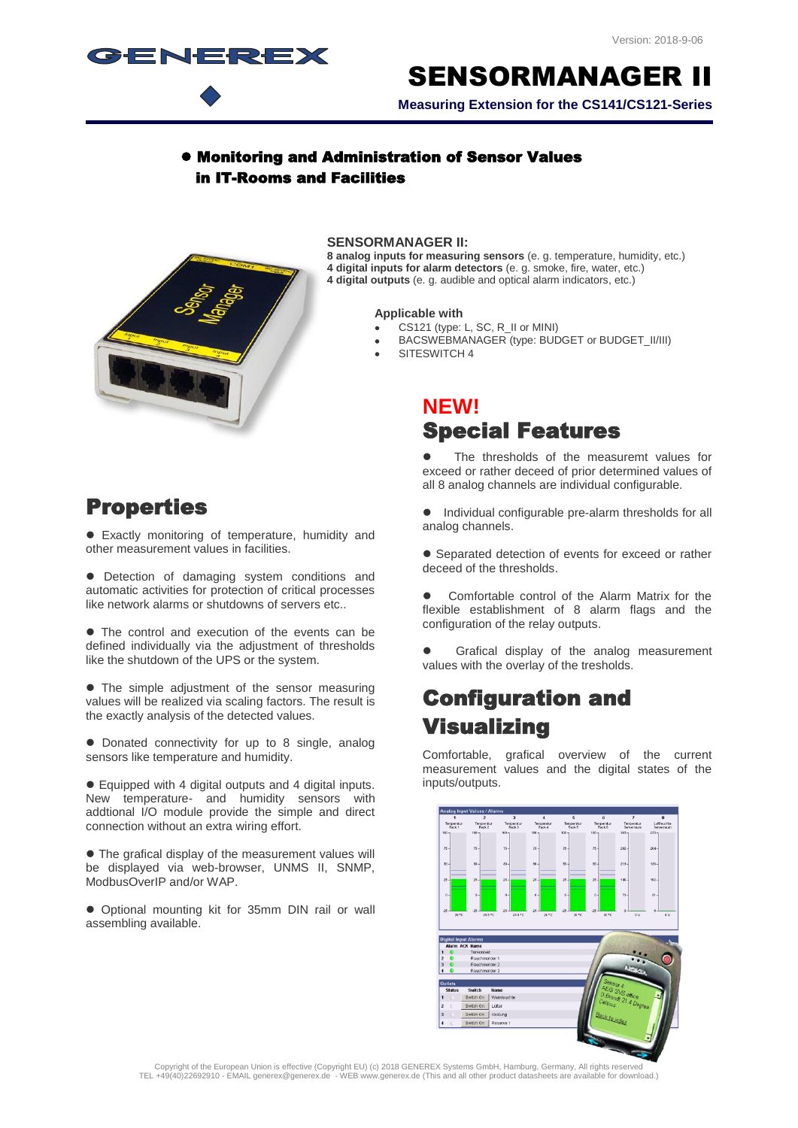

# SENSORMANAGER II

**Measuring Extension for the CS141/CS121-Series**

#### Monitoring and Administration of Sensor Values in IT-Rooms and Facilities



#### **SENSORMANAGER II:**

**8 analog inputs for measuring sensors** (e. g. temperature, humidity, etc.) **4 digital inputs for alarm detectors** (e. g. smoke, fire, water, etc.) **4 digital outputs** (e. g. audible and optical alarm indicators, etc.)

#### **Applicable with**

- CS121 (type: L, SC, R\_II or MINI)
- BACSWEBMANAGER (type: BUDGET or BUDGET\_II/III)
- SITESWITCH 4

#### **NEW!** Special Features

 The thresholds of the measuremt values for exceed or rather deceed of prior determined values of all 8 analog channels are individual configurable.

#### Properties

 Exactly monitoring of temperature, humidity and other measurement values in facilities.

 Detection of damaging system conditions and automatic activities for protection of critical processes like network alarms or shutdowns of servers etc..

• The control and execution of the events can be defined individually via the adjustment of thresholds like the shutdown of the UPS or the system.

• The simple adjustment of the sensor measuring values will be realized via scaling factors. The result is the exactly analysis of the detected values.

• Donated connectivity for up to 8 single, analog sensors like temperature and humidity.

 Equipped with 4 digital outputs and 4 digital inputs. New temperature- and humidity sensors with addtional I/O module provide the simple and direct connection without an extra wiring effort.

 The grafical display of the measurement values will be displayed via web-browser, UNMS II, SNMP, ModbusOverIP and/or WAP.

 Optional mounting kit for 35mm DIN rail or wall assembling available.

 $\bullet$  Individual configurable pre-alarm thresholds for all analog channels.

 Separated detection of events for exceed or rather deceed of the thresholds.

 Comfortable control of the Alarm Matrix for the flexible establishment of 8 alarm flags and the configuration of the relay outputs.

 Grafical display of the analog measurement values with the overlay of the tresholds.

## Configuration and Visualizing

Comfortable, grafical overview of the current measurement values and the digital states of the inputs/outputs.



Copyright of the European Union is effective (Copyright EU) (c) 2018 GENEREX Systems GmbH, Hamburg, Germany, All rights reserved<br>TEL +49(40)22692910 - EMAIL generex@generex.de - WEB www.generex.de (This and all other prod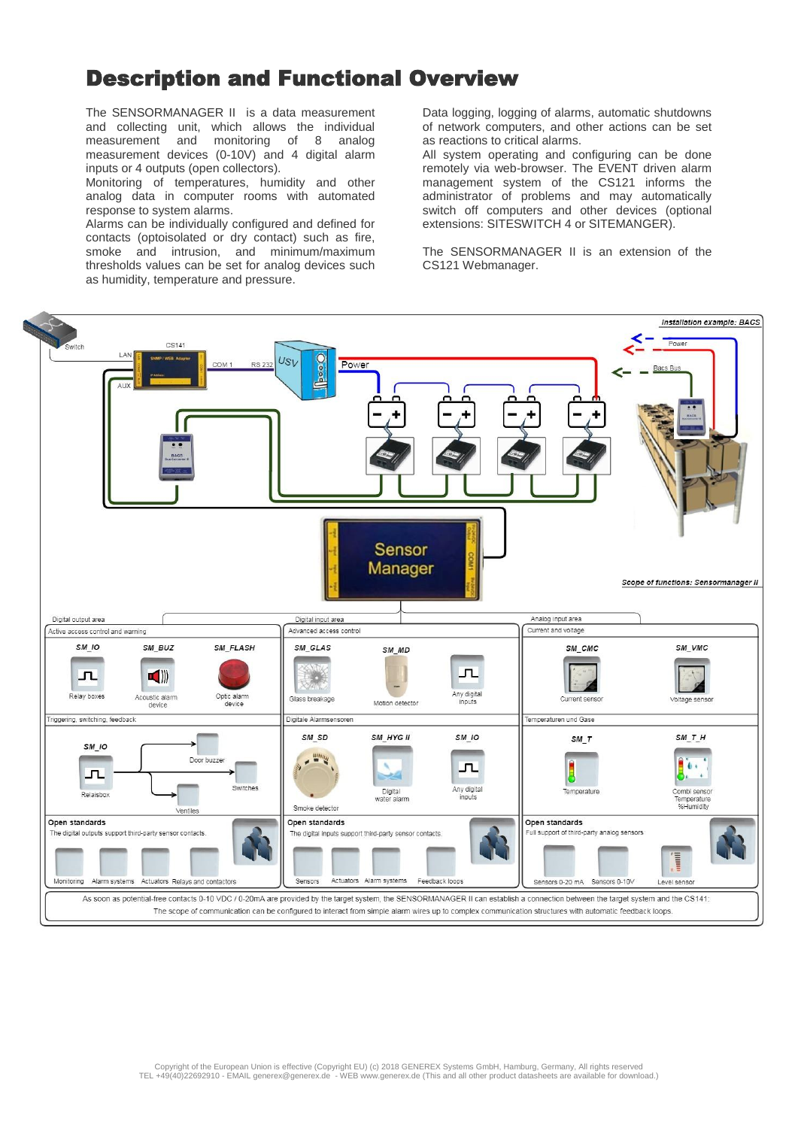### Description and Functional Overview

The SENSORMANAGER II is a data measurement and collecting unit, which allows the individual measurement and monitoring of 8 analog measurement devices (0-10V) and 4 digital alarm inputs or 4 outputs (open collectors).

Monitoring of temperatures, humidity and other analog data in computer rooms with automated response to system alarms.

Alarms can be individually configured and defined for contacts (optoisolated or dry contact) such as fire, smoke and intrusion, and minimum/maximum thresholds values can be set for analog devices such as humidity, temperature and pressure.

Data logging, logging of alarms, automatic shutdowns of network computers, and other actions can be set as reactions to critical alarms.

All system operating and configuring can be done remotely via web-browser. The EVENT driven alarm management system of the CS121 informs the administrator of problems and may automatically switch off computers and other devices (optional extensions: SITESWITCH 4 or SITEMANGER).

The SENSORMANAGER II is an extension of the CS121 Webmanager.